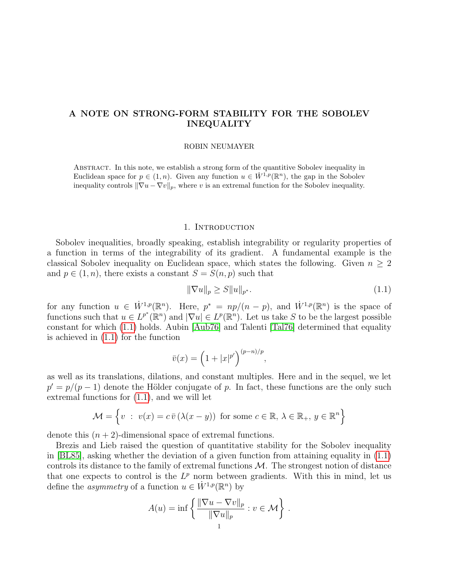## A NOTE ON STRONG-FORM STABILITY FOR THE SOBOLEV INEQUALITY

#### ROBIN NEUMAYER

Abstract. In this note, we establish a strong form of the quantitive Sobolev inequality in Euclidean space for  $p \in (1, n)$ . Given any function  $u \in \dot{W}^{1,p}(\mathbb{R}^n)$ , the gap in the Sobolev inequality controls  $\|\nabla u - \nabla v\|_p$ , where v is an extremal function for the Sobolev inequality.

#### 1. INTRODUCTION

Sobolev inequalities, broadly speaking, establish integrability or regularity properties of a function in terms of the integrability of its gradient. A fundamental example is the classical Sobolev inequality on Euclidean space, which states the following. Given  $n \geq 2$ and  $p \in (1, n)$ , there exists a constant  $S = S(n, p)$  such that

<span id="page-0-0"></span>
$$
\|\nabla u\|_{p} \ge S \|u\|_{p^*}.
$$
\n(1.1)

for any function  $u \in \dot{W}^{1,p}(\mathbb{R}^n)$ . Here,  $p^* = np/(n-p)$ , and  $\dot{W}^{1,p}(\mathbb{R}^n)$  is the space of functions such that  $u \in L^{p^*}(\mathbb{R}^n)$  and  $|\nabla u| \in L^p(\mathbb{R}^n)$ . Let us take S to be the largest possible constant for which [\(1.1\)](#page-0-0) holds. Aubin [\[Aub76\]](#page-6-0) and Talenti [\[Tal76\]](#page-8-0) determined that equality is achieved in [\(1.1\)](#page-0-0) for the function

$$
\bar{v}(x) = \left(1 + |x|^{p'}\right)^{(p-n)/p},
$$

as well as its translations, dilations, and constant multiples. Here and in the sequel, we let  $p' = p/(p-1)$  denote the Hölder conjugate of p. In fact, these functions are the only such extremal functions for [\(1.1\)](#page-0-0), and we will let

$$
\mathcal{M} = \left\{ v : v(x) = c \, \overline{v} \left( \lambda(x - y) \right) \text{ for some } c \in \mathbb{R}, \, \lambda \in \mathbb{R}_+, \, y \in \mathbb{R}^n \right\}
$$

denote this  $(n + 2)$ -dimensional space of extremal functions.

Brezis and Lieb raised the question of quantitative stability for the Sobolev inequality in [\[BL85\]](#page-6-1), asking whether the deviation of a given function from attaining equality in [\(1.1\)](#page-0-0) controls its distance to the family of extremal functions  $M$ . The strongest notion of distance that one expects to control is the  $L^p$  norm between gradients. With this in mind, let us define the *asymmetry* of a function  $u \in \dot{W}^{1,p}(\mathbb{R}^n)$  by

$$
A(u) = \inf \left\{ \frac{\|\nabla u - \nabla v\|_p}{\|\nabla u\|_p} : v \in \mathcal{M} \right\}.
$$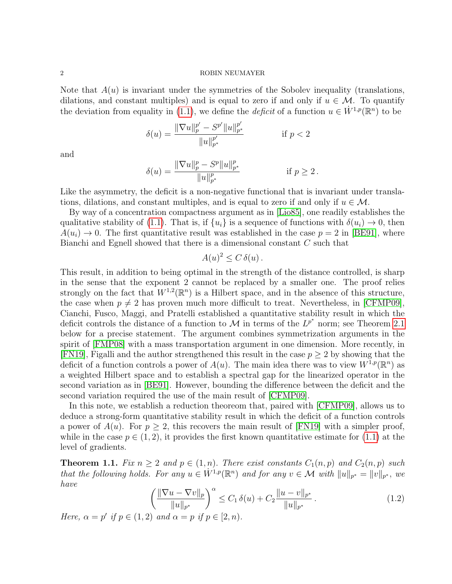#### $2\,$   $\,$  ROBIN NEUMAYER

Note that  $A(u)$  is invariant under the symmetries of the Sobolev inequality (translations, dilations, and constant multiples) and is equal to zero if and only if  $u \in \mathcal{M}$ . To quantify the deviation from equality in [\(1.1\)](#page-0-0), we define the *deficit* of a function  $u \in \dot{W}^{1,p}(\mathbb{R}^n)$  to be

$$
\delta(u) = \frac{\|\nabla u\|_p^{p'} - S^{p'} \|u\|_{p^*}^{p'}}{\|u\|_{p^*}^{p'}}
$$
 if  $p < 2$ 

and

$$
\delta(u) = \frac{\|\nabla u\|_p^p - S^p \|u\|_{p^*}^p}{\|u\|_{p^*}^p} \quad \text{if } p \ge 2.
$$

Like the asymmetry, the deficit is a non-negative functional that is invariant under translations, dilations, and constant multiples, and is equal to zero if and only if  $u \in \mathcal{M}$ .

By way of a concentration compactness argument as in [\[Lio85\]](#page-7-0), one readily establishes the qualitative stability of [\(1.1\)](#page-0-0). That is, if  $\{u_i\}$  is a sequence of functions with  $\delta(u_i) \to 0$ , then  $A(u_i) \rightarrow 0$ . The first quantitative result was established in the case  $p = 2$  in [\[BE91\]](#page-6-2), where Bianchi and Egnell showed that there is a dimensional constant C such that

$$
A(u)^2 \le C \,\delta(u) \,.
$$

This result, in addition to being optimal in the strength of the distance controlled, is sharp in the sense that the exponent 2 cannot be replaced by a smaller one. The proof relies strongly on the fact that  $W^{1,2}(\mathbb{R}^n)$  is a Hilbert space, and in the absence of this structure, the case when  $p \neq 2$  has proven much more difficult to treat. Nevertheless, in [\[CFMP09\]](#page-7-1), Cianchi, Fusco, Maggi, and Pratelli established a quantitative stability result in which the deficit controls the distance of a function to M in terms of the  $L^{p^*}$  norm; see Theorem [2.1](#page-4-0) below for a precise statement. The argument combines symmetrization arguments in the spirit of [\[FMP08\]](#page-7-2) with a mass transportation argument in one dimension. More recently, in [\[FN19\]](#page-7-3), Figalli and the author strengthened this result in the case  $p \geq 2$  by showing that the deficit of a function controls a power of  $A(u)$ . The main idea there was to view  $W^{1,p}(\mathbb{R}^n)$  as a weighted Hilbert space and to establish a spectral gap for the linearized operator in the second variation as in [\[BE91\]](#page-6-2). However, bounding the difference between the deficit and the second variation required the use of the main result of [\[CFMP09\]](#page-7-1).

In this note, we establish a reduction theoreom that, paired with [\[CFMP09\]](#page-7-1), allows us to deduce a strong-form quantitative stability result in which the deficit of a function controls a power of  $A(u)$ . For  $p \geq 2$ , this recovers the main result of [\[FN19\]](#page-7-3) with a simpler proof, while in the case  $p \in (1, 2)$ , it provides the first known quantitative estimate for  $(1.1)$  at the level of gradients.

<span id="page-1-0"></span>**Theorem 1.1.** Fix  $n \geq 2$  and  $p \in (1, n)$ . There exist constants  $C_1(n, p)$  and  $C_2(n, p)$  such that the following holds. For any  $u \in W^{1,p}(\mathbb{R}^n)$  and for any  $v \in \mathcal{M}$  with  $||u||_{p^*} = ||v||_{p^*}$ , we have

<span id="page-1-1"></span>
$$
\left(\frac{\|\nabla u - \nabla v\|_p}{\|u\|_{p^*}}\right)^{\alpha} \le C_1 \delta(u) + C_2 \frac{\|u - v\|_{p^*}}{\|u\|_{p^*}}.
$$
\n(1.2)

Here,  $\alpha = p'$  if  $p \in (1,2)$  and  $\alpha = p$  if  $p \in [2,n)$ .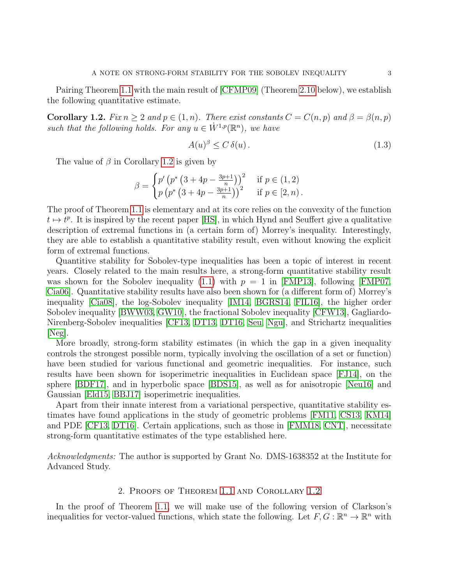Pairing Theorem [1.1](#page-1-0) with the main result of [\[CFMP09\]](#page-7-1) (Theorem [2.10](#page-4-1) below), we establish the following quantitative estimate.

<span id="page-2-0"></span>**Corollary 1.2.** Fix  $n \geq 2$  and  $p \in (1, n)$ . There exist constants  $C = C(n, p)$  and  $\beta = \beta(n, p)$ such that the following holds. For any  $u \in \dot{W}^{1,p}(\mathbb{R}^n)$ , we have

$$
A(u)^{\beta} \le C \,\delta(u) \,. \tag{1.3}
$$

The value of  $\beta$  in Corollary [1.2](#page-2-0) is given by

$$
\beta = \begin{cases} p' \left( p^* \left( 3 + 4p - \frac{3p+1}{n} \right) \right)^2 & \text{if } p \in (1, 2) \\ p \left( p^* \left( 3 + 4p - \frac{3p+1}{n} \right) \right)^2 & \text{if } p \in [2, n) \,. \end{cases}
$$

The proof of Theorem [1.1](#page-1-0) is elementary and at its core relies on the convexity of the function  $t \mapsto t^p$ . It is inspired by the recent paper [\[HS\]](#page-7-4), in which Hynd and Seuffert give a qualitative description of extremal functions in (a certain form of) Morrey's inequality. Interestingly, they are able to establish a quantitative stability result, even without knowing the explicit form of extremal functions.

Quantitive stability for Sobolev-type inequalities has been a topic of interest in recent years. Closely related to the main results here, a strong-form quantitative stability result was shown for the Sobolev inequality [\(1.1\)](#page-0-0) with  $p = 1$  in [\[FMP13\]](#page-7-5), following [\[FMP07,](#page-7-6) [Cia06\]](#page-7-7). Quantitative stability results have also been shown for (a different form of) Morrey's inequality [\[Cia08\]](#page-7-8), the log-Sobolev inequality [\[IM14,](#page-7-9) [BGRS14,](#page-6-3) [FIL16\]](#page-7-10), the higher order Sobolev inequality [\[BWW03,](#page-6-4) [GW10\]](#page-7-11), the fractional Sobolev inequality [\[CFW13\]](#page-7-12), Gagliardo-Nirenberg-Sobolev inequalities [\[CF13,](#page-6-5) [DT13,](#page-7-13) [DT16,](#page-7-14) [Seu,](#page-8-1) [Ngu\]](#page-8-2), and Strichartz inequalities [\[Neg\]](#page-7-15).

More broadly, strong-form stability estimates (in which the gap in a given inequality controls the strongest possible norm, typically involving the oscillation of a set or function) have been studied for various functional and geometric inequalities. For instance, such results have been shown for isoperimetric inequalities in Euclidean space [\[FJ14\]](#page-7-16), on the sphere [\[BDF17\]](#page-6-6), and in hyperbolic space [\[BDS15\]](#page-6-7), as well as for anisotropic [\[Neu16\]](#page-7-17) and Gaussian [\[Eld15,](#page-7-18) [BBJ17\]](#page-6-8) isoperimetric inequalities.

Apart from their innate interest from a variational perspective, quantitative stability estimates have found applications in the study of geometric problems [\[FM11,](#page-7-19) [CS13,](#page-7-20) [KM14\]](#page-7-21) and PDE [\[CF13,](#page-6-5) [DT16\]](#page-7-14). Certain applications, such as those in [\[FMM18,](#page-7-22) [CNT\]](#page-7-23), necessitate strong-form quantitative estimates of the type established here.

Acknowledgments: The author is supported by Grant No. DMS-1638352 at the Institute for Advanced Study.

## 2. Proofs of Theorem [1.1](#page-1-0) and Corollary [1.2](#page-2-0)

In the proof of Theorem [1.1,](#page-1-0) we will make use of the following version of Clarkson's inequalities for vector-valued functions, which state the following. Let  $F, G : \mathbb{R}^n \to \mathbb{R}^n$  with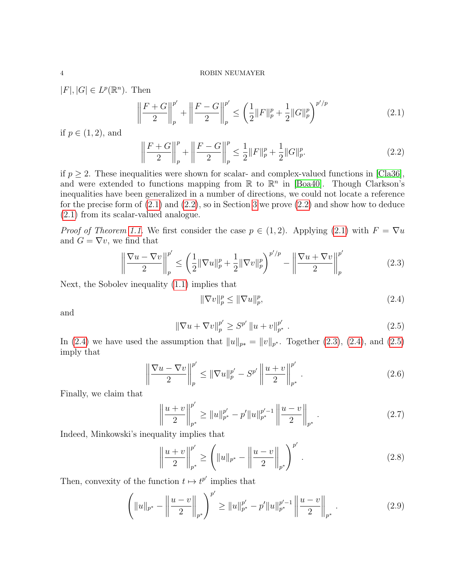#### 4 ROBIN NEUMAYER

 $|F|, |G| \in L^p(\mathbb{R}^n)$ . Then

$$
\left\| \frac{F+G}{2} \right\|_{p}^{p'} + \left\| \frac{F-G}{2} \right\|_{p}^{p'} \le \left( \frac{1}{2} \|F\|_{p}^{p} + \frac{1}{2} \|G\|_{p}^{p} \right)^{p'/p}
$$
\n(2.1)

if  $p \in (1, 2)$ , and

<span id="page-3-0"></span>
$$
\left\| \frac{F+G}{2} \right\|_{p}^{p} + \left\| \frac{F-G}{2} \right\|_{p}^{p} \le \frac{1}{2} \|F\|_{p}^{p} + \frac{1}{2} \|G\|_{p}^{p}.
$$
\n(2.2)

if  $p \geq 2$ . These inequalities were shown for scalar- and complex-valued functions in [\[Cla36\]](#page-7-24), and were extended to functions mapping from  $\mathbb R$  to  $\mathbb R^n$  in [\[Boa40\]](#page-6-9). Though Clarkson's inequalities have been generalized in a number of directions, we could not locate a reference for the precise form of  $(2.1)$  and  $(2.2)$ , so in Section [3](#page-5-0) we prove  $(2.2)$  and show how to deduce [\(2.1\)](#page-3-0) from its scalar-valued analogue.

*Proof of Theorem [1.1.](#page-1-0)* We first consider the case  $p \in (1, 2)$ . Applying [\(2.1\)](#page-3-0) with  $F = \nabla u$ and  $G = \nabla v$ , we find that

$$
\left\| \frac{\nabla u - \nabla v}{2} \right\|_{p}^{p'} \le \left( \frac{1}{2} \|\nabla u\|_{p}^{p} + \frac{1}{2} \|\nabla v\|_{p}^{p} \right)^{p'/p} - \left\| \frac{\nabla u + \nabla v}{2} \right\|_{p}^{p'} \tag{2.3}
$$

Next, the Sobolev inequality [\(1.1\)](#page-0-0) implies that

<span id="page-3-8"></span><span id="page-3-7"></span><span id="page-3-4"></span><span id="page-3-3"></span><span id="page-3-2"></span><span id="page-3-1"></span>
$$
\|\nabla v\|_p^p \le \|\nabla u\|_p^p,\tag{2.4}
$$

and

$$
\|\nabla u + \nabla v\|_p^{p'} \ge S^{p'} \|u + v\|_{p^*}^{p'} .
$$
\n(2.5)

In [\(2.4\)](#page-3-2) we have used the assumption that  $||u||_{p*} = ||v||_{p*}$ . Together [\(2.3\)](#page-3-3), (2.4), and [\(2.5\)](#page-3-4) imply that

$$
\left\| \frac{\nabla u - \nabla v}{2} \right\|_{p}^{p'} \leq \|\nabla u\|_{p}^{p'} - S^{p'} \left\| \frac{u + v}{2} \right\|_{p^{*}}^{p'}.
$$
\n(2.6)

Finally, we claim that

$$
\left\|\frac{u+v}{2}\right\|_{p^*}^{p'} \ge \|u\|_{p^*}^{p'} - p'\|u\|_{p^*}^{p'-1} \left\|\frac{u-v}{2}\right\|_{p^*}.
$$
\n(2.7)

Indeed, Minkowski's inequality implies that

<span id="page-3-6"></span><span id="page-3-5"></span>
$$
\left\| \frac{u+v}{2} \right\|_{p^*}^{p'} \ge \left( \|u\|_{p^*} - \left\| \frac{u-v}{2} \right\|_{p^*} \right)^{p'}.
$$
\n(2.8)

Then, convexity of the function  $t \mapsto t^{p'}$  implies that

$$
\left(\|u\|_{p^*} - \left\|\frac{u-v}{2}\right\|_{p^*}\right)^{p'} \ge \|u\|_{p^*}^{p'} - p'\|u\|_{p^*}^{p'-1} \left\|\frac{u-v}{2}\right\|_{p^*}.
$$
\n(2.9)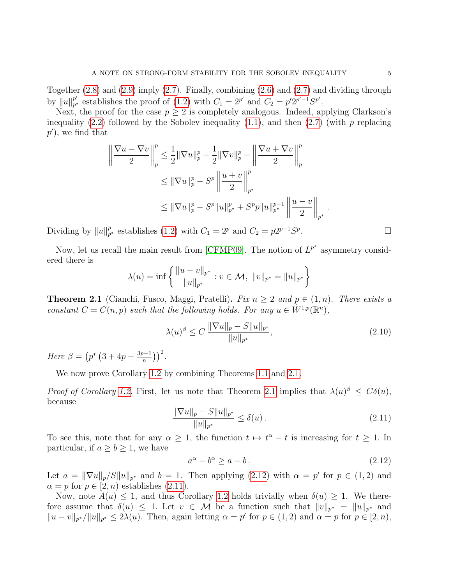Together [\(2.8\)](#page-3-5) and [\(2.9\)](#page-3-6) imply [\(2.7\)](#page-3-7). Finally, combining [\(2.6\)](#page-3-8) and [\(2.7\)](#page-3-7) and dividing through by  $||u||_{p^*}^{p'}$  $p'_{p^*}$  establishes the proof of [\(1.2\)](#page-1-1) with  $C_1 = 2^{p'}$  and  $C_2 = p'2^{p'-1}S^{p'}$ .

Next, the proof for the case  $p \geq 2$  is completely analogous. Indeed, applying Clarkson's inequality  $(2.2)$  followed by the Sobolev inequality  $(1.1)$ , and then  $(2.7)$  (with p replacing  $p'$ , we find that

$$
\left\| \frac{\nabla u - \nabla v}{2} \right\|_{p}^{p} \leq \frac{1}{2} \|\nabla u\|_{p}^{p} + \frac{1}{2} \|\nabla v\|_{p}^{p} - \left\| \frac{\nabla u + \nabla v}{2} \right\|_{p}^{p}
$$
  
\n
$$
\leq \|\nabla u\|_{p}^{p} - S^{p} \left\| \frac{u + v}{2} \right\|_{p^{*}}^{p}
$$
  
\n
$$
\leq \|\nabla u\|_{p}^{p} - S^{p} \|u\|_{p^{*}}^{p} + S^{p} p \|u\|_{p^{*}}^{p-1} \left\| \frac{u - v}{2} \right\|_{p^{*}}.
$$

Dividing by  $||u||_p^p$  $_{p^*}^p$  establishes [\(1.2\)](#page-1-1) with  $C_1 = 2^p$  and  $C_2 = p2^{p-1}S^p$ 

Now, let us recall the main result from [\[CFMP09\]](#page-7-1). The notion of  $L^{p^*}$  asymmetry considered there is

$$
\lambda(u) = \inf \left\{ \frac{\|u - v\|_{p^*}}{\|u\|_{p^*}} : v \in \mathcal{M}, \|v\|_{p^*} = \|u\|_{p^*} \right\}
$$

<span id="page-4-0"></span>**Theorem 2.1** (Cianchi, Fusco, Maggi, Pratelli). Fix  $n \geq 2$  and  $p \in (1, n)$ . There exists a constant  $C = C(n, p)$  such that the following holds. For any  $u \in W^{1,p}(\mathbb{R}^n)$ ,

<span id="page-4-1"></span>
$$
\lambda(u)^{\beta} \le C \, \frac{\|\nabla u\|_p - S \|u\|_{p^*}}{\|u\|_{p^*}},\tag{2.10}
$$

Here  $\beta = (p^* (3 + 4p - \frac{3p+1}{p})$  $\frac{p+1}{n}\Big)\Big)^2$ .

We now prove Corollary [1.2](#page-2-0) by combining Theorems [1.1](#page-1-0) and [2.1.](#page-4-0)

Proof of Corollary [1.2.](#page-2-0) First, let us note that Theorem [2.1](#page-4-0) implies that  $\lambda(u)^\beta \leq C\delta(u)$ , because

<span id="page-4-3"></span>
$$
\frac{\|\nabla u\|_{p} - S\|u\|_{p^*}}{\|u\|_{p^*}} \le \delta(u). \tag{2.11}
$$

To see this, note that for any  $\alpha \geq 1$ , the function  $t \mapsto t^{\alpha} - t$  is increasing for  $t \geq 1$ . In particular, if  $a \geq b \geq 1$ , we have

<span id="page-4-2"></span>
$$
a^{\alpha} - b^{\alpha} \ge a - b. \tag{2.12}
$$

Let  $a = \|\nabla u\|_p / S \|u\|_{p^*}$  and  $b = 1$ . Then applying [\(2.12\)](#page-4-2) with  $\alpha = p'$  for  $p \in (1, 2)$  and  $\alpha = p$  for  $p \in [2, n)$  establishes [\(2.11\)](#page-4-3).

Now, note  $A(u) \leq 1$ , and thus Corollary [1.2](#page-2-0) holds trivially when  $\delta(u) \geq 1$ . We therefore assume that  $\delta(u) \leq 1$ . Let  $v \in \mathcal{M}$  be a function such that  $||v||_{p^*} = ||u||_{p^*}$  and  $||u - v||_{p^*}/||u||_{p^*} \le 2\lambda(u)$ . Then, again letting  $\alpha = p'$  for  $p \in (1, 2)$  and  $\alpha = p$  for  $p \in [2, n)$ ,

. — Процессиональные просто производства и продата в собстановки с производствовки с производствовки с произво<br>В собстановки с производствовки с производствовки с производствовки с производствовки с производствовки с прои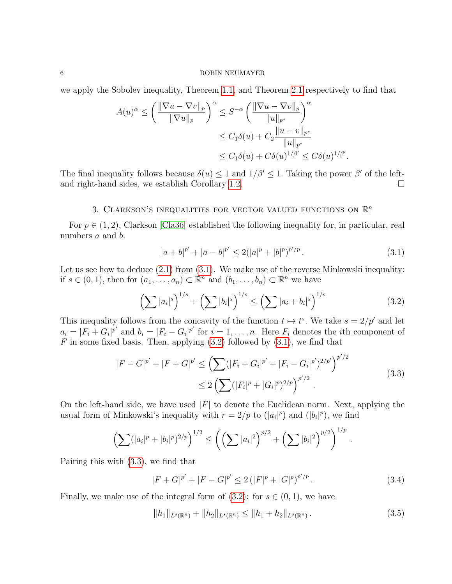### 6 ROBIN NEUMAYER

we apply the Sobolev inequality, Theorem [1.1,](#page-1-0) and Theorem [2.1](#page-4-0) respectively to find that

$$
A(u)^{\alpha} \le \left(\frac{\|\nabla u - \nabla v\|_p}{\|\nabla u\|_p}\right)^{\alpha} \le S^{-\alpha} \left(\frac{\|\nabla u - \nabla v\|_p}{\|u\|_{p^*}}\right)^{\alpha}
$$
  

$$
\le C_1 \delta(u) + C_2 \frac{\|u - v\|_{p^*}}{\|u\|_{p^*}}
$$
  

$$
\le C_1 \delta(u) + C \delta(u)^{1/\beta'} \le C \delta(u)^{1/\beta'}.
$$

The final inequality follows because  $\delta(u) \leq 1$  and  $1/\beta' \leq 1$ . Taking the power  $\beta'$  of the left-and right-hand sides, we establish Corollary [1.2.](#page-2-0)  $\Box$ 

# 3. CLARKSON'S INEQUALITIES FOR VECTOR VALUED FUNCTIONS ON  $\mathbb{R}^n$

<span id="page-5-0"></span>For  $p \in (1, 2)$ , Clarkson [\[Cla36\]](#page-7-24) established the following inequality for, in particular, real numbers a and b:

<span id="page-5-2"></span><span id="page-5-1"></span>
$$
|a+b|^{p'} + |a-b|^{p'} \le 2(|a|^p + |b|^p)^{p'/p}.
$$
\n(3.1)

Let us see how to deduce  $(2.1)$  from  $(3.1)$ . We make use of the reverse Minkowski inequality: if  $s \in (0,1)$ , then for  $(a_1, \ldots, a_n) \subset \mathbb{R}^n$  and  $(b_1, \ldots, b_n) \subset \mathbb{R}^n$  we have

$$
\left(\sum |a_i|^s\right)^{1/s} + \left(\sum |b_i|^s\right)^{1/s} \le \left(\sum |a_i + b_i|^s\right)^{1/s} \tag{3.2}
$$

This inequality follows from the concavity of the function  $t \mapsto t^s$ . We take  $s = 2/p'$  and let  $a_i = |F_i + G_i|^{p'}$  and  $b_i = |F_i - G_i|^{p'}$  for  $i = 1, ..., n$ . Here  $F_i$  denotes the *i*th component of  $F$  in some fixed basis. Then, applying  $(3.2)$  followed by  $(3.1)$ , we find that

$$
|F - G|^{p'} + |F + G|^{p'} \le \left(\sum (|F_i + G_i|^{p'} + |F_i - G_i|^{p'})^{2/p'}\right)^{p'/2}
$$
  

$$
\le 2\left(\sum (|F_i|^p + |G_i|^p)^{2/p}\right)^{p'/2}.
$$
\n(3.3)

<span id="page-5-3"></span>On the left-hand side, we have used  $|F|$  to denote the Euclidean norm. Next, applying the usual form of Minkowski's inequality with  $r = 2/p$  to  $(|a_i|^p)$  and  $(|b_i|^p)$ , we find

$$
\left(\sum (|a_i|^p+|b_i|^p)^{2/p}\right)^{1/2}\leq \left(\left(\sum |a_i|^2\right)^{p/2}+\left(\sum |b_i|^2\right)^{p/2}\right)^{1/p}.
$$

Pairing this with [\(3.3\)](#page-5-3), we find that

<span id="page-5-5"></span>
$$
|F+G|^{p'} + |F-G|^{p'} \le 2\left(|F|^p + |G|^p\right)^{p'/p}.\tag{3.4}
$$

Finally, we make use of the integral form of  $(3.2)$ : for  $s \in (0,1)$ , we have

<span id="page-5-4"></span>
$$
||h_1||_{L^s(\mathbb{R}^n)} + ||h_2||_{L^s(\mathbb{R}^n)} \le ||h_1 + h_2||_{L^s(\mathbb{R}^n)}.
$$
\n(3.5)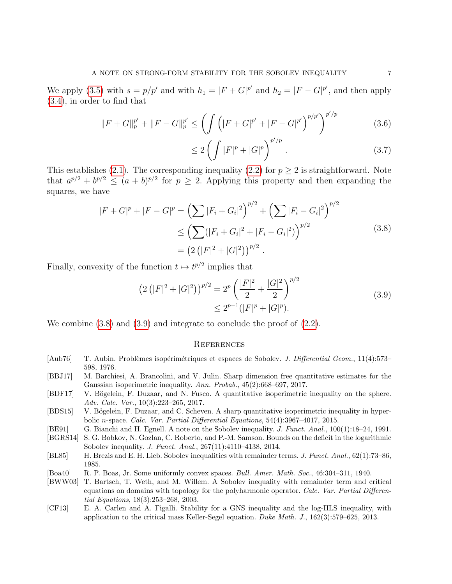We apply [\(3.5\)](#page-5-4) with  $s = p/p'$  and with  $h_1 = |F + G|^{p'}$  and  $h_2 = |F - G|^{p'}$ , and then apply [\(3.4\)](#page-5-5), in order to find that

$$
||F + G||_p^{p'} + ||F - G||_p^{p'} \le \left(\int \left(|F + G|^{p'} + |F - G|^{p'}\right)^{p/p'}\right)^{p'/p}
$$
(3.6)

$$
\leq 2\left(\int |F|^p + |G|^p\right)^{p'/p}.\tag{3.7}
$$

This establishes [\(2.1\)](#page-3-0). The corresponding inequality [\(2.2\)](#page-3-1) for  $p \geq 2$  is straightforward. Note that  $a^{p/2} + b^{p/2} \le (a + b)^{p/2}$  for  $p \ge 2$ . Applying this property and then expanding the squares, we have

$$
|F + G|^p + |F - G|^p = \left(\sum |F_i + G_i|^2\right)^{p/2} + \left(\sum |F_i - G_i|^2\right)^{p/2}
$$
  
\n
$$
\leq \left(\sum (|F_i + G_i|^2 + |F_i - G_i|^2)\right)^{p/2}
$$
  
\n
$$
= \left(2\left(|F|^2 + |G|^2\right)\right)^{p/2}.
$$
\n(3.8)

<span id="page-6-11"></span><span id="page-6-10"></span>Finally, convexity of the function  $t \mapsto t^{p/2}$  implies that

$$
(2(|F|^2 + |G|^2))^{p/2} = 2^p \left(\frac{|F|^2}{2} + \frac{|G|^2}{2}\right)^{p/2}
$$
  
 
$$
\leq 2^{p-1}(|F|^p + |G|^p). \tag{3.9}
$$

We combine  $(3.8)$  and  $(3.9)$  and integrate to conclude the proof of  $(2.2)$ .

#### **REFERENCES**

- <span id="page-6-0"></span>[Aub76] T. Aubin. Problèmes isopérimétriques et espaces de Sobolev. J. Differential Geom., 11(4):573– 598, 1976.
- <span id="page-6-8"></span>[BBJ17] M. Barchiesi, A. Brancolini, and V. Julin. Sharp dimension free quantitative estimates for the Gaussian isoperimetric inequality. Ann. Probab., 45(2):668–697, 2017.
- <span id="page-6-6"></span>[BDF17] V. Bögelein, F. Duzaar, and N. Fusco. A quantitative isoperimetric inequality on the sphere. Adv. Calc. Var., 10(3):223–265, 2017.
- <span id="page-6-7"></span>[BDS15] V. Bögelein, F. Duzaar, and C. Scheven. A sharp quantitative isoperimetric inequality in hyperbolic n-space. Calc. Var. Partial Differential Equations, 54(4):3967–4017, 2015.
- <span id="page-6-2"></span>[BE91] G. Bianchi and H. Egnell. A note on the Sobolev inequality. J. Funct. Anal., 100(1):18–24, 1991.
- <span id="page-6-3"></span>[BGRS14] S. G. Bobkov, N. Gozlan, C. Roberto, and P.-M. Samson. Bounds on the deficit in the logarithmic Sobolev inequality. J. Funct. Anal., 267(11):4110–4138, 2014.
- <span id="page-6-1"></span>[BL85] H. Brezis and E. H. Lieb. Sobolev inequalities with remainder terms. J. Funct. Anal., 62(1):73–86, 1985.
- <span id="page-6-9"></span>[Boa40] R. P. Boas, Jr. Some uniformly convex spaces. Bull. Amer. Math. Soc., 46:304–311, 1940.
- <span id="page-6-4"></span>[BWW03] T. Bartsch, T. Weth, and M. Willem. A Sobolev inequality with remainder term and critical equations on domains with topology for the polyharmonic operator. Calc. Var. Partial Differential Equations, 18(3):253–268, 2003.
- <span id="page-6-5"></span>[CF13] E. A. Carlen and A. Figalli. Stability for a GNS inequality and the log-HLS inequality, with application to the critical mass Keller-Segel equation. Duke Math. J., 162(3):579–625, 2013.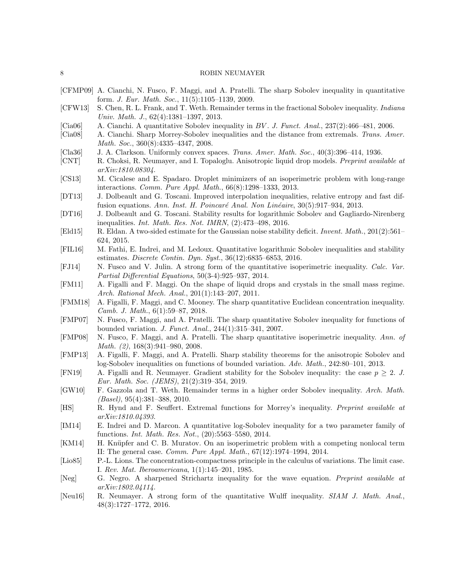#### 8 ROBIN NEUMAYER

- <span id="page-7-1"></span>[CFMP09] A. Cianchi, N. Fusco, F. Maggi, and A. Pratelli. The sharp Sobolev inequality in quantitative form. J. Eur. Math. Soc., 11(5):1105–1139, 2009.
- <span id="page-7-12"></span>[CFW13] S. Chen, R. L. Frank, and T. Weth. Remainder terms in the fractional Sobolev inequality. Indiana Univ. Math. J., 62(4):1381–1397, 2013.
- <span id="page-7-7"></span>[Cia06] A. Cianchi. A quantitative Sobolev inequality in BV . J. Funct. Anal., 237(2):466–481, 2006.
- <span id="page-7-8"></span>[Cia08] A. Cianchi. Sharp Morrey-Sobolev inequalities and the distance from extremals. Trans. Amer. Math. Soc., 360(8):4335–4347, 2008.
- <span id="page-7-24"></span>[Cla36] J. A. Clarkson. Uniformly convex spaces. Trans. Amer. Math. Soc., 40(3):396–414, 1936.
- <span id="page-7-23"></span>[CNT] R. Choksi, R. Neumayer, and I. Topaloglu. Anisotropic liquid drop models. Preprint available at arXiv:1810.08304.
- <span id="page-7-20"></span>[CS13] M. Cicalese and E. Spadaro. Droplet minimizers of an isoperimetric problem with long-range interactions. Comm. Pure Appl. Math., 66(8):1298–1333, 2013.
- <span id="page-7-13"></span>[DT13] J. Dolbeault and G. Toscani. Improved interpolation inequalities, relative entropy and fast diffusion equations. Ann. Inst. H. Poincaré Anal. Non Linéaire, 30(5):917–934, 2013.
- <span id="page-7-14"></span>[DT16] J. Dolbeault and G. Toscani. Stability results for logarithmic Sobolev and Gagliardo-Nirenberg inequalities. Int. Math. Res. Not. IMRN, (2):473–498, 2016.
- <span id="page-7-18"></span>[Eld15] R. Eldan. A two-sided estimate for the Gaussian noise stability deficit. Invent. Math., 201(2):561– 624, 2015.
- <span id="page-7-10"></span>[FIL16] M. Fathi, E. Indrei, and M. Ledoux. Quantitative logarithmic Sobolev inequalities and stability estimates. Discrete Contin. Dyn. Syst., 36(12):6835–6853, 2016.
- <span id="page-7-16"></span>[FJ14] N. Fusco and V. Julin. A strong form of the quantitative isoperimetric inequality. Calc. Var. Partial Differential Equations, 50(3-4):925–937, 2014.
- <span id="page-7-19"></span>[FM11] A. Figalli and F. Maggi. On the shape of liquid drops and crystals in the small mass regime. Arch. Rational Mech. Anal., 201(1):143–207, 2011.
- <span id="page-7-22"></span>[FMM18] A. Figalli, F. Maggi, and C. Mooney. The sharp quantitative Euclidean concentration inequality. Camb. J. Math., 6(1):59–87, 2018.
- <span id="page-7-6"></span>[FMP07] N. Fusco, F. Maggi, and A. Pratelli. The sharp quantitative Sobolev inequality for functions of bounded variation. J. Funct. Anal., 244(1):315–341, 2007.
- <span id="page-7-2"></span>[FMP08] N. Fusco, F. Maggi, and A. Pratelli. The sharp quantitative isoperimetric inequality. Ann. of Math. (2), 168(3):941–980, 2008.
- <span id="page-7-5"></span>[FMP13] A. Figalli, F. Maggi, and A. Pratelli. Sharp stability theorems for the anisotropic Sobolev and log-Sobolev inequalities on functions of bounded variation. Adv. Math., 242:80–101, 2013.
- <span id="page-7-3"></span>[FN19] A. Figalli and R. Neumayer. Gradient stability for the Sobolev inequality: the case  $p \geq 2$ . J. Eur. Math. Soc. (JEMS), 21(2):319–354, 2019.
- <span id="page-7-11"></span>[GW10] F. Gazzola and T. Weth. Remainder terms in a higher order Sobolev inequality. Arch. Math.  $(Basel), 95(4):381-388, 2010.$
- <span id="page-7-4"></span>[HS] R. Hynd and F. Seuffert. Extremal functions for Morrey's inequality. Preprint available at arXiv:1810.04393.
- <span id="page-7-9"></span>[IM14] E. Indrei and D. Marcon. A quantitative log-Sobolev inequality for a two parameter family of functions. Int. Math. Res. Not., (20):5563–5580, 2014.
- <span id="page-7-21"></span>[KM14] H. Knüpfer and C. B. Muratov. On an isoperimetric problem with a competing nonlocal term II: The general case. Comm. Pure Appl. Math., 67(12):1974–1994, 2014.
- <span id="page-7-0"></span>[Lio85] P.-L. Lions. The concentration-compactness principle in the calculus of variations. The limit case. I. Rev. Mat. Iberoamericana, 1(1):145–201, 1985.
- <span id="page-7-15"></span>[Neg] G. Negro. A sharpened Strichartz inequality for the wave equation. Preprint available at arXiv:1802.04114.
- <span id="page-7-17"></span>[Neu16] R. Neumayer. A strong form of the quantitative Wulff inequality. SIAM J. Math. Anal., 48(3):1727–1772, 2016.